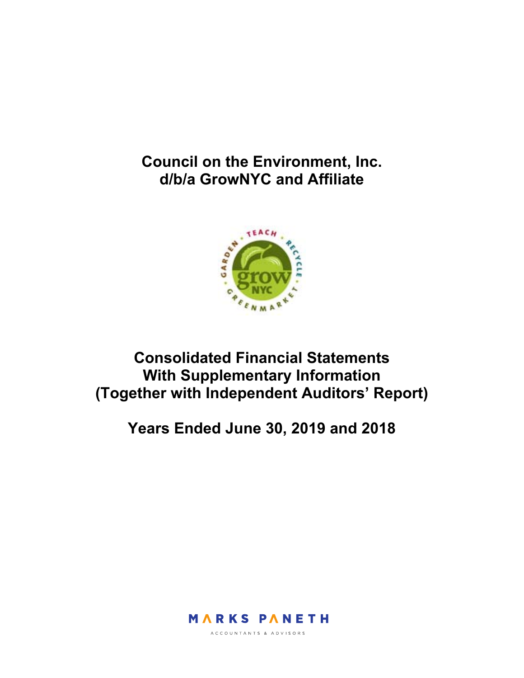## **Council on the Environment, Inc. d/b/a GrowNYC and Affiliate**



## **Consolidated Financial Statements With Supplementary Information (Together with Independent Auditors' Report)**

**Years Ended June 30, 2019 and 2018** 



ACCOUNTANTS & ADVISORS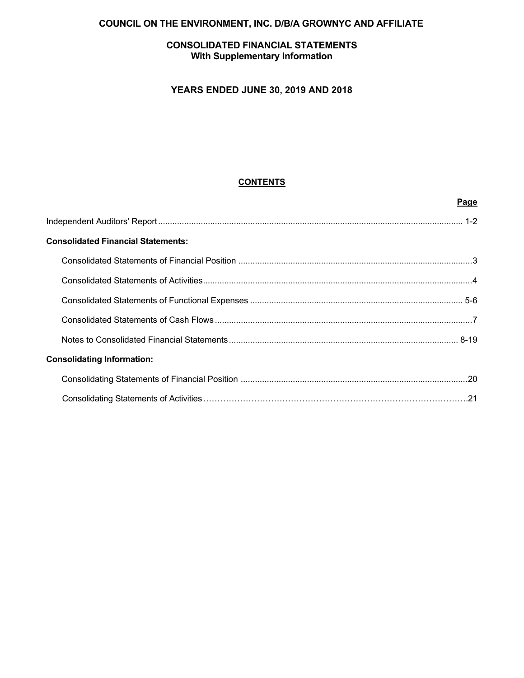### **COUNCIL ON THE ENVIRONMENT, INC. D/B/A GROWNYC AND AFFILIATE**

#### **CONSOLIDATED FINANCIAL STATEMENTS With Supplementary Information**

### **YEARS ENDED JUNE 30, 2019 AND 2018**

#### **CONTENTS**

|                                           | Page |
|-------------------------------------------|------|
|                                           |      |
| <b>Consolidated Financial Statements:</b> |      |
|                                           |      |
|                                           |      |
|                                           |      |
|                                           |      |
|                                           |      |
| <b>Consolidating Information:</b>         |      |
|                                           |      |
|                                           |      |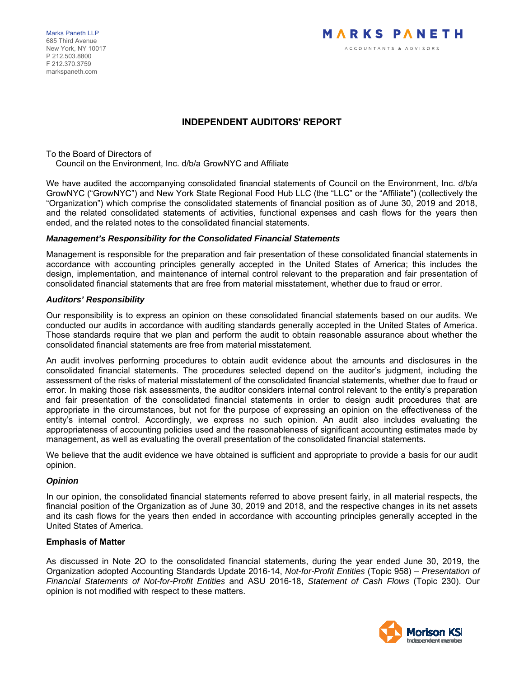Marks Paneth LLP 685 Third Avenue New York, NY 10017 P 212.503.8800 F 212.370.3759 markspaneth.com

#### **INDEPENDENT AUDITORS' REPORT**

To the Board of Directors of Council on the Environment, Inc. d/b/a GrowNYC and Affiliate

We have audited the accompanying consolidated financial statements of Council on the Environment, Inc. d/b/a GrowNYC ("GrowNYC") and New York State Regional Food Hub LLC (the "LLC" or the "Affiliate") (collectively the "Organization") which comprise the consolidated statements of financial position as of June 30, 2019 and 2018, and the related consolidated statements of activities, functional expenses and cash flows for the years then ended, and the related notes to the consolidated financial statements.

#### *Management's Responsibility for the Consolidated Financial Statements*

Management is responsible for the preparation and fair presentation of these consolidated financial statements in accordance with accounting principles generally accepted in the United States of America; this includes the design, implementation, and maintenance of internal control relevant to the preparation and fair presentation of consolidated financial statements that are free from material misstatement, whether due to fraud or error.

#### *Auditors' Responsibility*

Our responsibility is to express an opinion on these consolidated financial statements based on our audits. We conducted our audits in accordance with auditing standards generally accepted in the United States of America. Those standards require that we plan and perform the audit to obtain reasonable assurance about whether the consolidated financial statements are free from material misstatement.

An audit involves performing procedures to obtain audit evidence about the amounts and disclosures in the consolidated financial statements. The procedures selected depend on the auditor's judgment, including the assessment of the risks of material misstatement of the consolidated financial statements, whether due to fraud or error. In making those risk assessments, the auditor considers internal control relevant to the entity's preparation and fair presentation of the consolidated financial statements in order to design audit procedures that are appropriate in the circumstances, but not for the purpose of expressing an opinion on the effectiveness of the entity's internal control. Accordingly, we express no such opinion. An audit also includes evaluating the appropriateness of accounting policies used and the reasonableness of significant accounting estimates made by management, as well as evaluating the overall presentation of the consolidated financial statements.

We believe that the audit evidence we have obtained is sufficient and appropriate to provide a basis for our audit opinion.

#### *Opinion*

In our opinion, the consolidated financial statements referred to above present fairly, in all material respects, the financial position of the Organization as of June 30, 2019 and 2018, and the respective changes in its net assets and its cash flows for the years then ended in accordance with accounting principles generally accepted in the United States of America.

#### **Emphasis of Matter**

As discussed in Note 2O to the consolidated financial statements, during the year ended June 30, 2019, the Organization adopted Accounting Standards Update 2016-14, *Not-for-Profit Entities* (Topic 958) – *Presentation of Financial Statements of Not-for-Profit Entities* and ASU 2016-18, *Statement of Cash Flows* (Topic 230). Our opinion is not modified with respect to these matters.

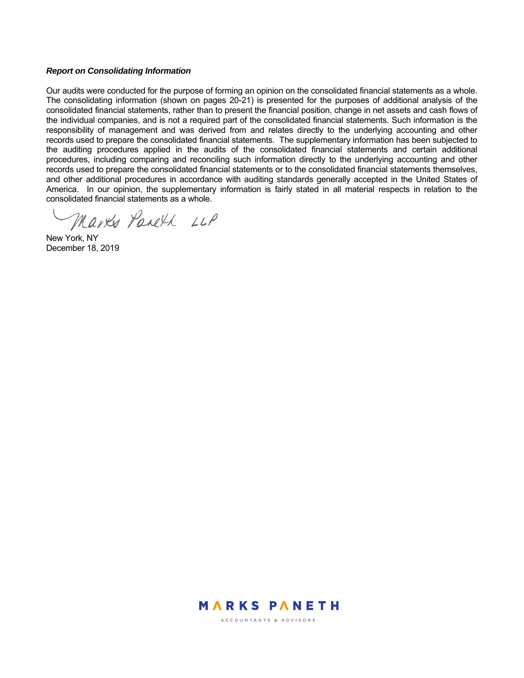#### *Report on Consolidating Information*

Our audits were conducted for the purpose of forming an opinion on the consolidated financial statements as a whole. The consolidating information (shown on pages 20-21) is presented for the purposes of additional analysis of the consolidated financial statements, rather than to present the financial position, change in net assets and cash flows of the individual companies, and is not a required part of the consolidated financial statements. Such information is the responsibility of management and was derived from and relates directly to the underlying accounting and other records used to prepare the consolidated financial statements. The supplementary information has been subjected to the auditing procedures applied in the audits of the consolidated financial statements and certain additional procedures, including comparing and reconciling such information directly to the underlying accounting and other records used to prepare the consolidated financial statements or to the consolidated financial statements themselves, and other additional procedures in accordance with auditing standards generally accepted in the United States of America. In our opinion, the supplementary information is fairly stated in all material respects in relation to the consolidated financial statements as a whole.

Marks Paneth LLP

New York, NY December 18, 2019



ACCOUNTANTS & ADVISORS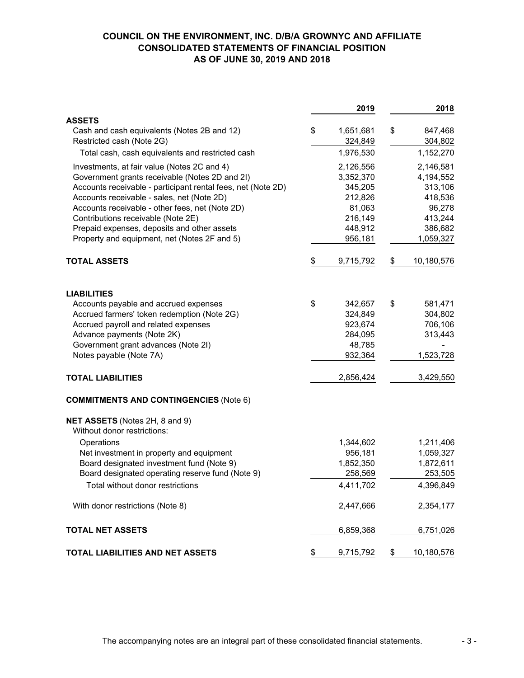#### **COUNCIL ON THE ENVIRONMENT, INC. D/B/A GROWNYC AND AFFILIATE CONSOLIDATED STATEMENTS OF FINANCIAL POSITION AS OF JUNE 30, 2019 AND 2018**

|                                                                                                                                                               | 2019                              |               | 2018                              |
|---------------------------------------------------------------------------------------------------------------------------------------------------------------|-----------------------------------|---------------|-----------------------------------|
| <b>ASSETS</b>                                                                                                                                                 |                                   |               |                                   |
| Cash and cash equivalents (Notes 2B and 12)<br>Restricted cash (Note 2G)                                                                                      | \$<br>1,651,681<br>324,849        | \$            | 847,468<br>304,802                |
| Total cash, cash equivalents and restricted cash                                                                                                              | 1,976,530                         |               | 1,152,270                         |
| Investments, at fair value (Notes 2C and 4)<br>Government grants receivable (Notes 2D and 2I)<br>Accounts receivable - participant rental fees, net (Note 2D) | 2,126,556<br>3,352,370<br>345,205 |               | 2,146,581<br>4,194,552<br>313,106 |
| Accounts receivable - sales, net (Note 2D)<br>Accounts receivable - other fees, net (Note 2D)                                                                 | 212,826<br>81,063                 |               | 418,536<br>96,278                 |
| Contributions receivable (Note 2E)<br>Prepaid expenses, deposits and other assets<br>Property and equipment, net (Notes 2F and 5)                             | 216,149<br>448,912<br>956,181     |               | 413,244<br>386,682<br>1,059,327   |
| <b>TOTAL ASSETS</b>                                                                                                                                           | \$<br>9,715,792                   | \$            | 10,180,576                        |
| <b>LIABILITIES</b>                                                                                                                                            |                                   |               |                                   |
| Accounts payable and accrued expenses                                                                                                                         | \$<br>342,657                     | \$            | 581,471                           |
| Accrued farmers' token redemption (Note 2G)<br>Accrued payroll and related expenses                                                                           | 324,849<br>923,674                |               | 304,802<br>706,106                |
| Advance payments (Note 2K)                                                                                                                                    | 284,095                           |               | 313,443                           |
| Government grant advances (Note 2I)                                                                                                                           | 48,785                            |               |                                   |
| Notes payable (Note 7A)                                                                                                                                       | 932,364                           |               | 1,523,728                         |
| <b>TOTAL LIABILITIES</b>                                                                                                                                      | 2,856,424                         |               | 3,429,550                         |
| <b>COMMITMENTS AND CONTINGENCIES (Note 6)</b>                                                                                                                 |                                   |               |                                   |
| NET ASSETS (Notes 2H, 8 and 9)<br>Without donor restrictions:                                                                                                 |                                   |               |                                   |
| Operations                                                                                                                                                    | 1,344,602                         |               | 1,211,406                         |
| Net investment in property and equipment                                                                                                                      | 956,181                           |               | 1,059,327                         |
| Board designated investment fund (Note 9)                                                                                                                     | 1,852,350                         |               | 1,872,611                         |
| Board designated operating reserve fund (Note 9)<br>Total without donor restrictions                                                                          | 258,569<br>4,411,702              |               | 253,505<br>4,396,849              |
| With donor restrictions (Note 8)                                                                                                                              | 2,447,666                         |               | 2,354,177                         |
| <b>TOTAL NET ASSETS</b>                                                                                                                                       | 6,859,368                         |               | 6,751,026                         |
| TOTAL LIABILITIES AND NET ASSETS                                                                                                                              | \$<br>9,715,792                   | $\frac{1}{2}$ | 10,180,576                        |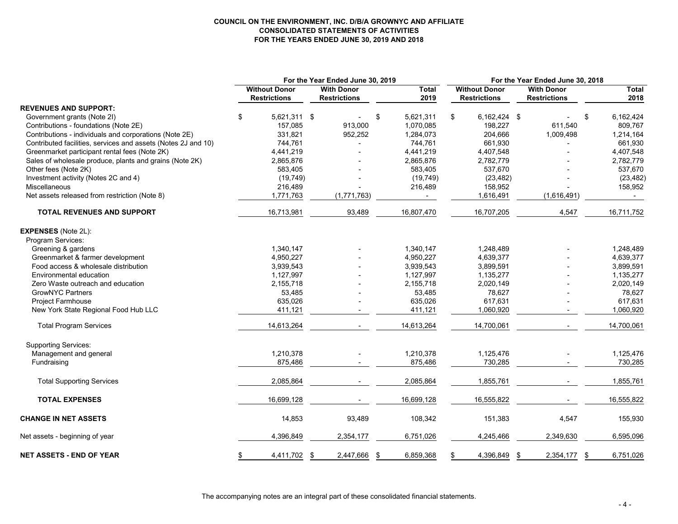#### **COUNCIL ON THE ENVIRONMENT, INC. D/B/A GROWNYC AND AFFILIATE CONSOLIDATED STATEMENTS OF ACTIVITIES FOR THE YEARS ENDED JUNE 30, 2019 AND 2018**

|                                                               | For the Year Ended June 30, 2019 |                                             |    |                                          |    | For the Year Ended June 30, 2018 |    |                                             |     |                                          |      |                      |
|---------------------------------------------------------------|----------------------------------|---------------------------------------------|----|------------------------------------------|----|----------------------------------|----|---------------------------------------------|-----|------------------------------------------|------|----------------------|
|                                                               |                                  | <b>Without Donor</b><br><b>Restrictions</b> |    | <b>With Donor</b><br><b>Restrictions</b> |    | Total<br>2019                    |    | <b>Without Donor</b><br><b>Restrictions</b> |     | <b>With Donor</b><br><b>Restrictions</b> |      | <b>Total</b><br>2018 |
| <b>REVENUES AND SUPPORT:</b>                                  |                                  |                                             |    |                                          |    |                                  |    |                                             |     |                                          |      |                      |
| Government grants (Note 2I)                                   | \$                               | 5,621,311 \$                                |    |                                          | \$ | 5,621,311                        | \$ | 6,162,424 \$                                |     |                                          | \$   | 6,162,424            |
| Contributions - foundations (Note 2E)                         |                                  | 157,085                                     |    | 913,000                                  |    | 1.070.085                        |    | 198,227                                     |     | 611,540                                  |      | 809,767              |
| Contributions - individuals and corporations (Note 2E)        |                                  | 331,821                                     |    | 952,252                                  |    | 1,284,073                        |    | 204,666                                     |     | 1,009,498                                |      | 1,214,164            |
| Contributed facilities, services and assets (Notes 2J and 10) |                                  | 744,761                                     |    |                                          |    | 744,761                          |    | 661,930                                     |     |                                          |      | 661,930              |
| Greenmarket participant rental fees (Note 2K)                 |                                  | 4,441,219                                   |    |                                          |    | 4,441,219                        |    | 4,407,548                                   |     |                                          |      | 4,407,548            |
| Sales of wholesale produce, plants and grains (Note 2K)       |                                  | 2,865,876                                   |    |                                          |    | 2,865,876                        |    | 2,782,779                                   |     |                                          |      | 2,782,779            |
| Other fees (Note 2K)                                          |                                  | 583,405                                     |    |                                          |    | 583,405                          |    | 537,670                                     |     |                                          |      | 537,670              |
| Investment activity (Notes 2C and 4)                          |                                  | (19, 749)                                   |    |                                          |    | (19, 749)                        |    | (23, 482)                                   |     |                                          |      | (23, 482)            |
| <b>Miscellaneous</b>                                          |                                  | 216,489                                     |    |                                          |    | 216,489                          |    | 158,952                                     |     |                                          |      | 158,952              |
| Net assets released from restriction (Note 8)                 |                                  | 1,771,763                                   |    | (1,771,763)                              |    | $\sim$                           |    | 1,616,491                                   |     | (1,616,491)                              |      | $\sim$               |
| <b>TOTAL REVENUES AND SUPPORT</b>                             |                                  | 16,713,981                                  |    | 93,489                                   |    | 16,807,470                       |    | 16,707,205                                  |     | 4,547                                    |      | 16,711,752           |
| <b>EXPENSES</b> (Note 2L):                                    |                                  |                                             |    |                                          |    |                                  |    |                                             |     |                                          |      |                      |
| Program Services:                                             |                                  |                                             |    |                                          |    |                                  |    |                                             |     |                                          |      |                      |
| Greening & gardens                                            |                                  | 1,340,147                                   |    |                                          |    | 1,340,147                        |    | 1,248,489                                   |     |                                          |      | 1,248,489            |
| Greenmarket & farmer development                              |                                  | 4,950,227                                   |    |                                          |    | 4,950,227                        |    | 4,639,377                                   |     |                                          |      | 4,639,377            |
| Food access & wholesale distribution                          |                                  | 3,939,543                                   |    |                                          |    | 3,939,543                        |    | 3,899,591                                   |     |                                          |      | 3,899,591            |
| Environmental education                                       |                                  | 1,127,997                                   |    |                                          |    | 1,127,997                        |    | 1,135,277                                   |     |                                          |      | 1,135,277            |
| Zero Waste outreach and education                             |                                  | 2,155,718                                   |    |                                          |    | 2,155,718                        |    | 2,020,149                                   |     |                                          |      | 2,020,149            |
| <b>GrowNYC Partners</b>                                       |                                  | 53,485                                      |    |                                          |    | 53,485                           |    | 78,627                                      |     |                                          |      | 78,627               |
| Project Farmhouse                                             |                                  | 635,026                                     |    |                                          |    | 635,026                          |    | 617,631                                     |     |                                          |      | 617,631              |
| New York State Regional Food Hub LLC                          |                                  | 411,121                                     |    |                                          |    | 411,121                          |    | 1,060,920                                   |     |                                          |      | 1,060,920            |
| <b>Total Program Services</b>                                 |                                  | 14,613,264                                  |    |                                          |    | 14,613,264                       |    | 14,700,061                                  |     | $\overline{\phantom{a}}$                 |      | 14,700,061           |
| <b>Supporting Services:</b>                                   |                                  |                                             |    |                                          |    |                                  |    |                                             |     |                                          |      |                      |
| Management and general                                        |                                  | 1,210,378                                   |    |                                          |    | 1,210,378                        |    | 1,125,476                                   |     |                                          |      | 1,125,476            |
| Fundraising                                                   |                                  | 875,486                                     |    |                                          |    | 875,486                          |    | 730,285                                     |     |                                          |      | 730,285              |
| <b>Total Supporting Services</b>                              |                                  | 2,085,864                                   |    |                                          |    | 2,085,864                        |    | 1,855,761                                   |     |                                          |      | 1,855,761            |
| <b>TOTAL EXPENSES</b>                                         |                                  | 16,699,128                                  |    |                                          |    | 16,699,128                       |    | 16,555,822                                  |     |                                          |      | 16,555,822           |
| <b>CHANGE IN NET ASSETS</b>                                   |                                  | 14,853                                      |    | 93,489                                   |    | 108,342                          |    | 151,383                                     |     | 4,547                                    |      | 155,930              |
| Net assets - beginning of year                                |                                  | 4,396,849                                   |    | 2,354,177                                |    | 6,751,026                        |    | 4,245,466                                   |     | 2,349,630                                |      | 6,595,096            |
| <b>NET ASSETS - END OF YEAR</b>                               | \$                               | 4,411,702                                   | \$ | 2,447,666                                | \$ | 6,859,368                        | \$ | 4,396,849                                   | -\$ | 2,354,177                                | - \$ | 6,751,026            |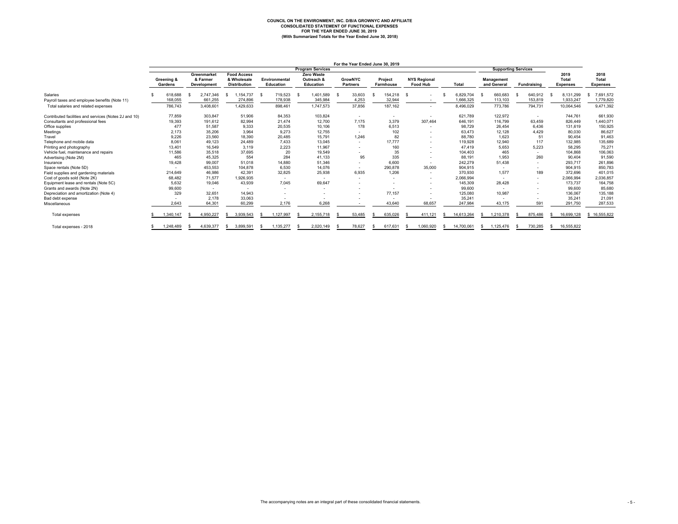# COUNCIL ON THE ENVIRONMENT, INC. D/B/A GROWNYC AND AFFILIATE<br>CONSOLIDATED STATEMENT OF FUNCTIONAL EXPENSES<br>FOR THE YEAR ENDED JUNE 30, 2019<br>(With Summarized Totals for the Year Ended June 30, 2018)

|                                                       |                       |                          |                                        |                                                          |      |                            |    |                                       |     | For the Year Ended June 30, 2019  |                             |      |                                        |              |                            |                           |  |                          |     |                                  |                                  |
|-------------------------------------------------------|-----------------------|--------------------------|----------------------------------------|----------------------------------------------------------|------|----------------------------|----|---------------------------------------|-----|-----------------------------------|-----------------------------|------|----------------------------------------|--------------|----------------------------|---------------------------|--|--------------------------|-----|----------------------------------|----------------------------------|
|                                                       |                       |                          |                                        |                                                          |      |                            |    | <b>Program Services</b>               |     |                                   |                             |      |                                        |              | <b>Supporting Services</b> |                           |  |                          |     |                                  |                                  |
|                                                       | Greening &<br>Gardens |                          | Greenmarket<br>& Farmer<br>Development | <b>Food Access</b><br>& Wholesale<br><b>Distribution</b> |      | Environmental<br>Education |    | Zero Waste<br>Outreach &<br>Education |     | <b>GrowNYC</b><br><b>Partners</b> | Project<br><b>Farmhouse</b> |      | <b>NYS Regional</b><br><b>Food Hub</b> | <b>Total</b> |                            | Management<br>and General |  | Fundraising              |     | 2019<br>Total<br><b>Expenses</b> | 2018<br>Total<br><b>Expenses</b> |
| Salaries                                              |                       | 618,688                  | 2,747,346<br>\$.                       | ,154,737                                                 | - \$ | 719,523                    | -S | 1,401,589                             | - S | 33,603                            | 154,218                     | - \$ |                                        | 6.829.704    |                            | 660.683                   |  | 640,912                  | - S | 8,131,299                        | 7,691,572<br>-S                  |
| Payroll taxes and employee benefits (Note 11)         |                       | 168,055                  | 661.255                                | 274,896                                                  |      | 178,938                    |    | 345,984                               |     | 4,253                             | 32,944                      |      | $\overline{\phantom{a}}$               | 1.666.325    |                            | 113,103                   |  | 153,819                  |     | 1,933,247                        | 1,779,820                        |
| Total salaries and related expenses                   |                       | 786,743                  | 3,408,601                              | 1,429,633                                                |      | 898,461                    |    | 1,747,573                             |     | 37,856                            | 187,162                     |      | $\sim$                                 | 8,496,029    |                            | 773,786                   |  | 794,731                  |     | 10,064,546                       | 9,471,392                        |
| Contributed facilities and services (Notes 2J and 10) |                       | 77.859                   | 303.847                                | 51,906                                                   |      | 84.353                     |    | 103,824                               |     | $\sim$                            |                             |      | $\sim$                                 | 621,789      |                            | 122.972                   |  | $\overline{\phantom{a}}$ |     | 744.761                          | 661,930                          |
| Consultants and professional fees                     |                       | 19,393                   | 191,612                                | 82,994                                                   |      | 21,474                     |    | 12,700                                |     | 7,175                             | 3,379                       |      | 307,464                                | 646,191      |                            | 116,799                   |  | 63,459                   |     | 826,449                          | 1,440,071                        |
| Office supplies                                       |                       | 477                      | 51.587                                 | 9,333                                                    |      | 20,535                     |    | 10,106                                |     | 178                               | 6,513                       |      | $\overline{\phantom{a}}$               | 98,729       |                            | 26.454                    |  | 6.436                    |     | 131,619                          | 150,925                          |
| Meetings                                              |                       | 2,173                    | 35,206                                 | 3,964                                                    |      | 9.273                      |    | 12,755                                |     | $\sim$                            | 102                         |      | $\sim$                                 | 63,473       |                            | 12.128                    |  | 4.429                    |     | 80,030                           | 86,627                           |
| Travel                                                |                       | 9,226                    | 23,560                                 | 18,390                                                   |      | 20,485                     |    | 15,791                                |     | 1,246                             | 82                          |      | $\sim$                                 | 88,780       |                            | 1,623                     |  | 51                       |     | 90,454                           | 91,463                           |
| Telephone and mobile data                             |                       | 8,061                    | 49.123                                 | 24,489                                                   |      | 7.433                      |    | 13,045                                |     | $\sim$                            | 17,777                      |      | $\sim$                                 | 119,928      |                            | 12,940                    |  | 117                      |     | 132,985                          | 135,689                          |
| Printing and photography                              |                       | 13,401                   | 16,549                                 | 3.119                                                    |      | 2,223                      |    | 11.967                                |     |                                   | 160                         |      | $\overline{\phantom{a}}$               | 47.419       |                            | 5.653                     |  | 5,223                    |     | 58.295                           | 75,271                           |
| Vehicle fuel, maintenance and repairs                 |                       | 11.586                   | 35.518                                 | 37,695                                                   |      | 20                         |    | 19.549                                |     |                                   | 35                          |      | $\sim$                                 | 104,403      |                            | 465                       |  | $\overline{\phantom{a}}$ |     | 104.868                          | 106,063                          |
| Advertising (Note 2M)                                 |                       | 465                      | 45,325                                 | 554                                                      |      | 284                        |    | 41,133                                |     | 95                                | 335                         |      | $\sim$                                 | 88,191       |                            | 1,953                     |  | 260                      |     | 90,404                           | 91,590                           |
| Insurance                                             |                       | 19.428                   | 99.007                                 | 51.018                                                   |      | 14,880                     |    | 51,346                                |     | ٠                                 | 6.600                       |      | $\sim$                                 | 242,279      |                            | 51,438                    |  | $\sim$                   |     | 293,717                          | 261,896                          |
| Space rentals (Note 5D)                               |                       | $\overline{\phantom{a}}$ | 453.553                                | 104.878                                                  |      | 6.530                      |    | 14.076                                |     | $\sim$                            | 290,878                     |      | 35,000                                 | 904,915      |                            | $\overline{\phantom{a}}$  |  | $\overline{\phantom{a}}$ |     | 904.915                          | 850,783                          |
| Field supplies and gardening materials                |                       | 214,649                  | 46,986                                 | 42,391                                                   |      | 32,825                     |    | 25,938                                |     | 6,935                             | 1,206                       |      | $\sim$                                 | 370,930      |                            | 1,577                     |  | 189                      |     | 372,696                          | 401,015                          |
| Cost of goods sold (Note 2K)                          |                       | 68,482                   | 71.577                                 | 1,926,935                                                |      | $\sim$                     |    |                                       |     | $\sim$                            |                             |      | $\sim$                                 | 2,066,994    |                            |                           |  | $\overline{a}$           |     | 2,066,994                        | 2,036,857                        |
| Equipment lease and rentals (Note 5C)                 |                       | 5.632                    | 19,046                                 | 43,939                                                   |      | 7.045                      |    | 69,647                                |     |                                   |                             |      | $\sim$                                 | 145,309      |                            | 28,428                    |  | $\overline{\phantom{a}}$ |     | 173.737                          | 164,758                          |
| Grants and awards (Note 2N)                           |                       | 99,600                   | $\overline{\phantom{a}}$               | $\overline{\phantom{a}}$                                 |      | $\overline{\phantom{a}}$   |    | $\overline{\phantom{a}}$              |     |                                   |                             |      |                                        | 99,600       |                            |                           |  | $\overline{\phantom{a}}$ |     | 99,600                           | 85,680                           |
| Depreciation and amortization (Note 4)                |                       | 329                      | 32,651                                 | 14,943                                                   |      | $\overline{\phantom{a}}$   |    | $\overline{\phantom{a}}$              |     |                                   | 77,157                      |      | $\sim$                                 | 125,080      |                            | 10,987                    |  | $\overline{\phantom{a}}$ |     | 136,067                          | 135,188                          |
| Bad debt expense                                      |                       |                          | 2.178                                  | 33,063                                                   |      |                            |    |                                       |     |                                   |                             |      |                                        | 35,241       |                            |                           |  |                          |     | 35,241                           | 21,091                           |
| Miscellaneous                                         |                       | 2.643                    | 64.301                                 | 60.299                                                   |      | 2.176                      |    | 6.268                                 |     |                                   | 43.640                      |      | 68.657                                 | 247.984      |                            | 43.175                    |  | 591                      |     | 291.750                          | 287,533                          |
| Total expenses                                        |                       | 1,340,147                | 4,950,227<br>s                         | 3,939,543<br>s                                           |      | 1,127,997                  |    | 2,155,718                             |     | 53,485                            | 635,026                     |      | 411,121                                | 14,613,264   | S                          | 1,210,378                 |  | 875,486                  |     | 16,699,128                       | \$16,555,822                     |
| Total expenses - 2018                                 |                       | 1.248.489                | 4.639.377                              | 3.899.591<br>s                                           |      | 1.135.277                  |    | 2.020.149                             |     | 78.627                            | 617.631                     |      | 1.060.920                              | 14.700.061   | -S                         | 1.125.476                 |  | 730.285                  | -S  | 16,555,822                       |                                  |

**For the Year Ended June 30, 2019**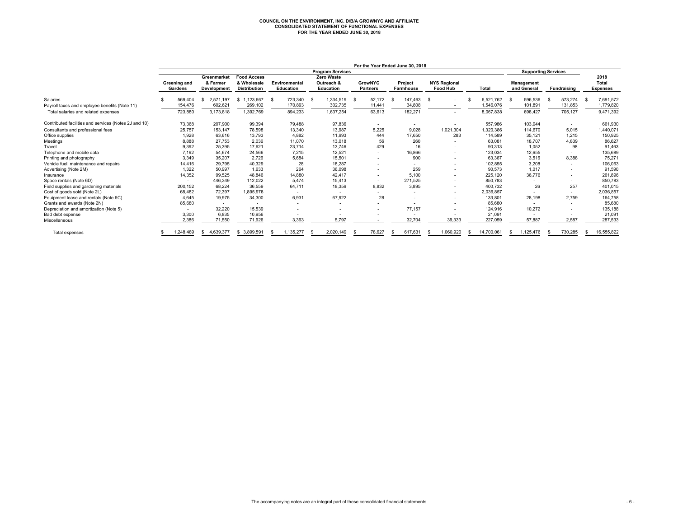## **COUNCIL ON THE ENVIRONMENT, INC. D/B/A GROWNYC AND AFFILIATE CONSOLIDATED STATEMENT OF FUNCTIONAL EXPENSES FOR THE YEAR ENDED JUNE 30, 2018**

|                                                       |                         |          |                                               |                                                          |      |                                   |                                                     |      |                                   | For the Year Ended June 30, 2018 |      |                                        |            |      |                                  |    |                          |                                         |
|-------------------------------------------------------|-------------------------|----------|-----------------------------------------------|----------------------------------------------------------|------|-----------------------------------|-----------------------------------------------------|------|-----------------------------------|----------------------------------|------|----------------------------------------|------------|------|----------------------------------|----|--------------------------|-----------------------------------------|
|                                                       |                         |          |                                               |                                                          |      |                                   | <b>Program Services</b>                             |      |                                   |                                  |      |                                        |            |      | <b>Supporting Services</b>       |    |                          |                                         |
|                                                       | Greening and<br>Gardens |          | Greenmarket<br>& Farmer<br><b>Development</b> | <b>Food Access</b><br>& Wholesale<br><b>Distribution</b> |      | Environmental<br><b>Education</b> | <b>Zero Waste</b><br>Outreach &<br><b>Education</b> |      | <b>GrowNYC</b><br><b>Partners</b> | Project<br><b>Farmhouse</b>      |      | <b>NYS Regional</b><br><b>Food Hub</b> | Total      |      | <b>Management</b><br>and General |    | <b>Fundraising</b>       | 2018<br><b>Total</b><br><b>Expenses</b> |
| <b>Salaries</b>                                       |                         | 569,404  | 2.571.197<br><b>S</b>                         | \$1.123.667                                              | - \$ | 723,340 \$                        | 1.334.519                                           | - \$ | 52.172                            | 147.463                          | - \$ |                                        | 6.521.762  | - \$ | 596.536                          | -9 | 573.274                  | 7,691,572                               |
| Payroll taxes and employee benefits (Note 11)         |                         | 154,476  | 602,621                                       | 269,102                                                  |      | 170,893                           | 302,735                                             |      | 11,441                            | 34,808                           |      |                                        | 1,546,076  |      | 101,891                          |    | 131,853                  | 1,779,820                               |
| Total salaries and related expenses                   |                         | 723,880  | 3,173,818                                     | 1,392,769                                                |      | 894,233                           | 1,637,254                                           |      | 63,613                            | 182,271                          |      | $\overline{\phantom{a}}$               | 8,067,838  |      | 698,427                          |    | 705,127                  | 9,471,392                               |
| Contributed facilities and services (Notes 2J and 10) |                         | 73,368   | 207,900                                       | 99,394                                                   |      | 79,488                            | 97,836                                              |      | $\overline{\phantom{a}}$          |                                  |      |                                        | 557,986    |      | 103,944                          |    |                          | 661,930                                 |
| Consultants and professional fees                     |                         | 25,757   | 153,147                                       | 78,598                                                   |      | 13,340                            | 13,987                                              |      | 5,225                             | 9,028                            |      | 1,021,304                              | 1,320,386  |      | 114,670                          |    | 5,015                    | 1,440,071                               |
| Office supplies                                       |                         | 1,928    | 63,616                                        | 13,793                                                   |      | 4,882                             | 11,993                                              |      | 444                               | 17,650                           |      | 283                                    | 114.589    |      | 35,121                           |    | 1.215                    | 150,925                                 |
| Meetings                                              |                         | 8,888    | 27,753                                        | 2,036                                                    |      | 11,070                            | 13,018                                              |      | 56                                | 260                              |      |                                        | 63,081     |      | 18,707                           |    | 4,839                    | 86,627                                  |
| Travel                                                |                         | 9,392    | 25.395                                        | 17.621                                                   |      | 23,714                            | 13,746                                              |      | 429                               | 16                               |      |                                        | 90,313     |      | 1.052                            |    | 98                       | 91,463                                  |
| Telephone and mobile data                             |                         | 7,192    | 54.674                                        | 24,566                                                   |      | 7,215                             | 12,521                                              |      | $\overline{\phantom{a}}$          | 16,866                           |      | $\overline{\phantom{a}}$               | 123,034    |      | 12,655                           |    |                          | 135,689                                 |
| Printing and photography                              |                         | 3,349    | 35.207                                        | 2,726                                                    |      | 5,684                             | 15,501                                              |      | $\overline{\phantom{a}}$          | 900                              |      | $\overline{\phantom{a}}$               | 63,367     |      | 3,516                            |    | 8,388                    | 75,271                                  |
| Vehicle fuel, maintenance and repairs                 |                         | 14.416   | 29.795                                        | 40,329                                                   |      | 28                                | 18,287                                              |      | $\overline{\phantom{a}}$          |                                  |      |                                        | 102,855    |      | 3.208                            |    | $\overline{\phantom{a}}$ | 106,063                                 |
| Advertising (Note 2M)                                 |                         | 1,322    | 50,997                                        | 1,633                                                    |      | 264                               | 36,098                                              |      | $\overline{\phantom{a}}$          | 259                              |      | $\overline{\phantom{0}}$               | 90,573     |      | 1,017                            |    | $\overline{\phantom{a}}$ | 91,590                                  |
| Insurance                                             |                         | 14,352   | 99,525                                        | 48,846                                                   |      | 14,880                            | 42,417                                              |      | $\overline{\phantom{a}}$          | 5,100                            |      | $\overline{\phantom{a}}$               | 225,120    |      | 36,776                           |    | $\overline{\phantom{a}}$ | 261,896                                 |
| Space rentals (Note 6D)                               |                         |          | 446,349                                       | 112,022                                                  |      | 5.474                             | 15,413                                              |      | $\overline{\phantom{a}}$          | 271.525                          |      | $\overline{\phantom{a}}$               | 850,783    |      | $\overline{\phantom{a}}$         |    | $\overline{\phantom{a}}$ | 850,783                                 |
| Field supplies and gardening materials                |                         | 200.152  | 68.224                                        | 36,559                                                   |      | 64,711                            | 18,359                                              |      | 8.832                             | 3,895                            |      | $\overline{\phantom{a}}$               | 400.732    |      | 26                               |    | 257                      | 401,015                                 |
| Cost of goods sold (Note 2L)                          |                         | 68,482   | 72,397                                        | 1,895,978                                                |      |                                   |                                                     |      |                                   |                                  |      | $\overline{\phantom{0}}$               | 2,036,857  |      |                                  |    | $\overline{\phantom{a}}$ | 2,036,857                               |
| Equipment lease and rentals (Note 6C)                 |                         | 4,645    | 19,975                                        | 34,300                                                   |      | 6,931                             | 67,922                                              |      | 28                                |                                  |      |                                        | 133,801    |      | 28,198                           |    | 2,759                    | 164,758                                 |
| Grants and awards (Note 2N)                           |                         | 85,680   |                                               |                                                          |      | $\overline{\phantom{a}}$          |                                                     |      |                                   |                                  |      | $\overline{\phantom{a}}$               | 85,680     |      |                                  |    | $\overline{\phantom{a}}$ | 85,680                                  |
| Depreciation and amortization (Note 5)                |                         |          | 32,220                                        | 15,539                                                   |      | $\overline{\phantom{a}}$          | $\overline{\phantom{a}}$                            |      | $\overline{\phantom{a}}$          | 77,157                           |      | $\overline{\phantom{0}}$               | 124,916    |      | 10,272                           |    | $\overline{\phantom{a}}$ | 135,188                                 |
| Bad debt expense                                      |                         | 3,300    | 6,835                                         | 10,956                                                   |      |                                   |                                                     |      | $\overline{\phantom{0}}$          |                                  |      |                                        | 21,091     |      | $\overline{\phantom{a}}$         |    |                          | 21,091                                  |
| Miscellaneous                                         |                         | 2,386    | 71,550                                        | 71,926                                                   |      | 3,363                             | 5,797                                               |      | $\overline{\phantom{a}}$          | 32,704                           |      | 39,333                                 | 227,059    |      | 57,887                           |    | 2,587                    | 287,533                                 |
| <b>Total expenses</b>                                 |                         | ,248,489 | 4,639,377<br>-S                               | 3,899,591<br>\$.                                         |      | .135,277                          | 2,020,149                                           |      | 78.627                            | 617,631                          |      | 1,060,920                              | 14,700,061 | -35  | 1,125,476                        | -S | 730.285                  | 16,555,822                              |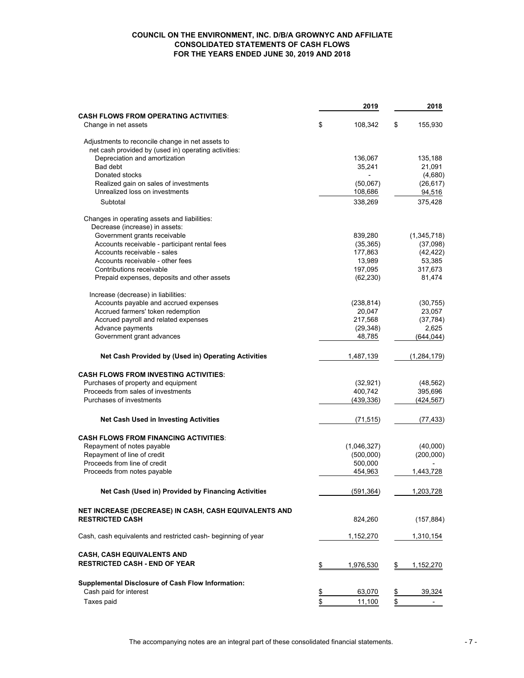#### **COUNCIL ON THE ENVIRONMENT, INC. D/B/A GROWNYC AND AFFILIATE CONSOLIDATED STATEMENTS OF CASH FLOWS FOR THE YEARS ENDED JUNE 30, 2019 AND 2018**

|                                                               | 2019            | 2018            |
|---------------------------------------------------------------|-----------------|-----------------|
| <b>CASH FLOWS FROM OPERATING ACTIVITIES:</b>                  |                 |                 |
| Change in net assets                                          | \$<br>108,342   | \$<br>155,930   |
| Adjustments to reconcile change in net assets to              |                 |                 |
| net cash provided by (used in) operating activities:          |                 |                 |
| Depreciation and amortization                                 | 136,067         | 135,188         |
| Bad debt                                                      | 35,241          | 21,091          |
| Donated stocks                                                |                 | (4,680)         |
| Realized gain on sales of investments                         | (50,067)        | (26, 617)       |
| Unrealized loss on investments                                | 108,686         | 94,516          |
| Subtotal                                                      | 338,269         | 375,428         |
| Changes in operating assets and liabilities:                  |                 |                 |
| Decrease (increase) in assets:                                |                 |                 |
| Government grants receivable                                  | 839,280         | (1,345,718)     |
| Accounts receivable - participant rental fees                 | (35, 365)       | (37,098)        |
| Accounts receivable - sales                                   | 177,863         | (42, 422)       |
| Accounts receivable - other fees                              | 13,989          | 53,385          |
| Contributions receivable                                      | 197,095         | 317,673         |
| Prepaid expenses, deposits and other assets                   | (62, 230)       | 81,474          |
| Increase (decrease) in liabilities:                           |                 |                 |
| Accounts payable and accrued expenses                         | (238, 814)      | (30, 755)       |
| Accrued farmers' token redemption                             | 20,047          | 23,057          |
| Accrued payroll and related expenses                          | 217,568         | (37, 784)       |
| Advance payments                                              | (29, 348)       | 2,625           |
| Government grant advances                                     | 48,785          | (644,044)       |
|                                                               |                 |                 |
| Net Cash Provided by (Used in) Operating Activities           | 1,487,139       | (1, 284, 179)   |
| <b>CASH FLOWS FROM INVESTING ACTIVITIES:</b>                  |                 |                 |
| Purchases of property and equipment                           | (32, 921)       | (48, 562)       |
| Proceeds from sales of investments                            | 400,742         | 395,696         |
| Purchases of investments                                      | (439,336)       | (424,567)       |
|                                                               |                 |                 |
| <b>Net Cash Used in Investing Activities</b>                  | (71, 515)       | (77, 433)       |
| <b>CASH FLOWS FROM FINANCING ACTIVITIES:</b>                  |                 |                 |
| Repayment of notes payable                                    | (1,046,327)     | (40,000)        |
| Repayment of line of credit                                   | (500,000)       | (200,000)       |
| Proceeds from line of credit                                  | 500,000         |                 |
| Proceeds from notes payable                                   | 454,963         | 1,443,728       |
| Net Cash (Used in) Provided by Financing Activities           | (591, 364)      | 1,203,728       |
| NET INCREASE (DECREASE) IN CASH, CASH EQUIVALENTS AND         |                 |                 |
| <b>RESTRICTED CASH</b>                                        | 824,260         | (157, 884)      |
| Cash, cash equivalents and restricted cash- beginning of year | 1,152,270       | 1,310,154       |
|                                                               |                 |                 |
| <b>CASH, CASH EQUIVALENTS AND</b>                             |                 |                 |
| <b>RESTRICTED CASH - END OF YEAR</b>                          | \$<br>1,976,530 | \$<br>1,152,270 |
| <b>Supplemental Disclosure of Cash Flow Information:</b>      |                 |                 |
| Cash paid for interest                                        | \$<br>63,070    | \$<br>39,324    |
| Taxes paid                                                    | \$<br>11,100    | \$              |
|                                                               |                 |                 |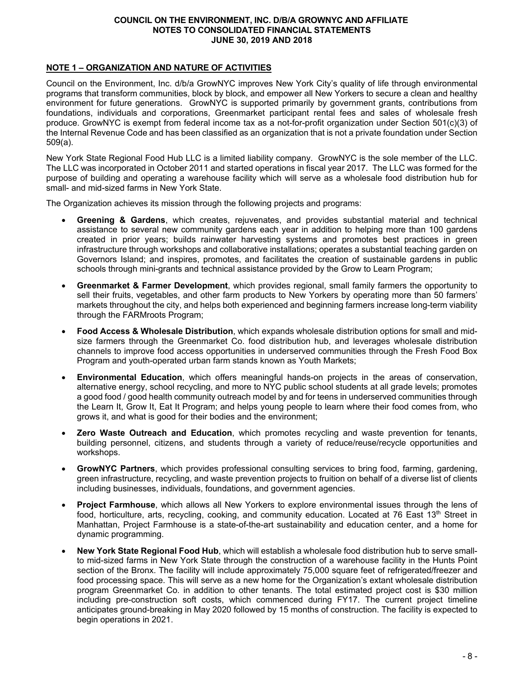#### **NOTE 1 – ORGANIZATION AND NATURE OF ACTIVITIES**

Council on the Environment, Inc. d/b/a GrowNYC improves New York City's quality of life through environmental programs that transform communities, block by block, and empower all New Yorkers to secure a clean and healthy environment for future generations. GrowNYC is supported primarily by government grants, contributions from foundations, individuals and corporations, Greenmarket participant rental fees and sales of wholesale fresh produce. GrowNYC is exempt from federal income tax as a not-for-profit organization under Section 501(c)(3) of the Internal Revenue Code and has been classified as an organization that is not a private foundation under Section 509(a).

New York State Regional Food Hub LLC is a limited liability company. GrowNYC is the sole member of the LLC. The LLC was incorporated in October 2011 and started operations in fiscal year 2017. The LLC was formed for the purpose of building and operating a warehouse facility which will serve as a wholesale food distribution hub for small- and mid-sized farms in New York State.

The Organization achieves its mission through the following projects and programs:

- **Greening & Gardens**, which creates, rejuvenates, and provides substantial material and technical assistance to several new community gardens each year in addition to helping more than 100 gardens created in prior years; builds rainwater harvesting systems and promotes best practices in green infrastructure through workshops and collaborative installations; operates a substantial teaching garden on Governors Island; and inspires, promotes, and facilitates the creation of sustainable gardens in public schools through mini-grants and technical assistance provided by the Grow to Learn Program;
- **Greenmarket & Farmer Development**, which provides regional, small family farmers the opportunity to sell their fruits, vegetables, and other farm products to New Yorkers by operating more than 50 farmers' markets throughout the city, and helps both experienced and beginning farmers increase long-term viability through the FARMroots Program;
- **Food Access & Wholesale Distribution**, which expands wholesale distribution options for small and midsize farmers through the Greenmarket Co. food distribution hub, and leverages wholesale distribution channels to improve food access opportunities in underserved communities through the Fresh Food Box Program and youth-operated urban farm stands known as Youth Markets;
- **Environmental Education**, which offers meaningful hands-on projects in the areas of conservation, alternative energy, school recycling, and more to NYC public school students at all grade levels; promotes a good food / good health community outreach model by and for teens in underserved communities through the Learn It, Grow It, Eat It Program; and helps young people to learn where their food comes from, who grows it, and what is good for their bodies and the environment;
- **Zero Waste Outreach and Education**, which promotes recycling and waste prevention for tenants, building personnel, citizens, and students through a variety of reduce/reuse/recycle opportunities and workshops.
- **GrowNYC Partners**, which provides professional consulting services to bring food, farming, gardening, green infrastructure, recycling, and waste prevention projects to fruition on behalf of a diverse list of clients including businesses, individuals, foundations, and government agencies.
- **Project Farmhouse**, which allows all New Yorkers to explore environmental issues through the lens of food, horticulture, arts, recycling, cooking, and community education. Located at 76 East 13<sup>th</sup> Street in Manhattan, Project Farmhouse is a state-of-the-art sustainability and education center, and a home for dynamic programming.
- **New York State Regional Food Hub**, which will establish a wholesale food distribution hub to serve smallto mid-sized farms in New York State through the construction of a warehouse facility in the Hunts Point section of the Bronx. The facility will include approximately 75,000 square feet of refrigerated/freezer and food processing space. This will serve as a new home for the Organization's extant wholesale distribution program Greenmarket Co. in addition to other tenants. The total estimated project cost is \$30 million including pre-construction soft costs, which commenced during FY17. The current project timeline anticipates ground-breaking in May 2020 followed by 15 months of construction. The facility is expected to begin operations in 2021.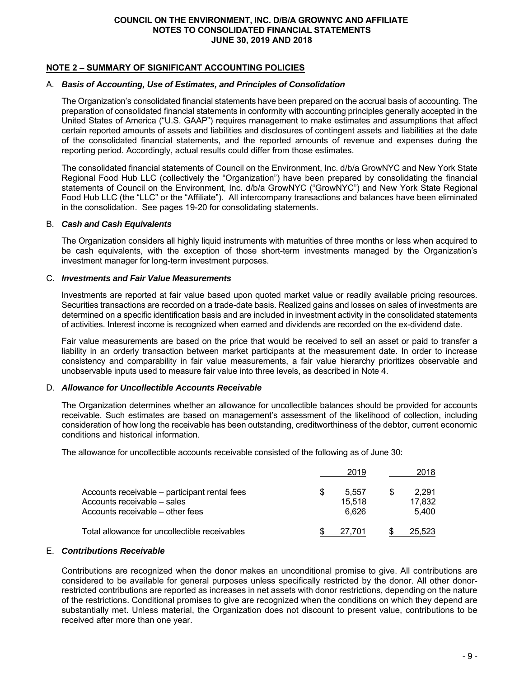#### **NOTE 2 – SUMMARY OF SIGNIFICANT ACCOUNTING POLICIES**

#### A. *Basis of Accounting, Use of Estimates, and Principles of Consolidation*

The Organization's consolidated financial statements have been prepared on the accrual basis of accounting. The preparation of consolidated financial statements in conformity with accounting principles generally accepted in the United States of America ("U.S. GAAP") requires management to make estimates and assumptions that affect certain reported amounts of assets and liabilities and disclosures of contingent assets and liabilities at the date of the consolidated financial statements, and the reported amounts of revenue and expenses during the reporting period. Accordingly, actual results could differ from those estimates.

The consolidated financial statements of Council on the Environment, Inc. d/b/a GrowNYC and New York State Regional Food Hub LLC (collectively the "Organization") have been prepared by consolidating the financial statements of Council on the Environment, Inc. d/b/a GrowNYC ("GrowNYC") and New York State Regional Food Hub LLC (the "LLC" or the "Affiliate"). All intercompany transactions and balances have been eliminated in the consolidation. See pages 19-20 for consolidating statements.

#### B. *Cash and Cash Equivalents*

The Organization considers all highly liquid instruments with maturities of three months or less when acquired to be cash equivalents, with the exception of those short-term investments managed by the Organization's investment manager for long-term investment purposes.

#### C. *Investments and Fair Value Measurements*

Investments are reported at fair value based upon quoted market value or readily available pricing resources. Securities transactions are recorded on a trade-date basis. Realized gains and losses on sales of investments are determined on a specific identification basis and are included in investment activity in the consolidated statements of activities. Interest income is recognized when earned and dividends are recorded on the ex-dividend date.

Fair value measurements are based on the price that would be received to sell an asset or paid to transfer a liability in an orderly transaction between market participants at the measurement date. In order to increase consistency and comparability in fair value measurements, a fair value hierarchy prioritizes observable and unobservable inputs used to measure fair value into three levels, as described in Note 4.

#### D. *Allowance for Uncollectible Accounts Receivable*

The Organization determines whether an allowance for uncollectible balances should be provided for accounts receivable. Such estimates are based on management's assessment of the likelihood of collection, including consideration of how long the receivable has been outstanding, creditworthiness of the debtor, current economic conditions and historical information.

The allowance for uncollectible accounts receivable consisted of the following as of June 30:

|                                                                                                                  |   | 2019                     | 2018                     |
|------------------------------------------------------------------------------------------------------------------|---|--------------------------|--------------------------|
| Accounts receivable – participant rental fees<br>Accounts receivable – sales<br>Accounts receivable – other fees | S | 5.557<br>15.518<br>6.626 | 2.291<br>17.832<br>5,400 |
| Total allowance for uncollectible receivables                                                                    |   | 27.701                   | 25.523                   |

#### E. *Contributions Receivable*

Contributions are recognized when the donor makes an unconditional promise to give. All contributions are considered to be available for general purposes unless specifically restricted by the donor. All other donorrestricted contributions are reported as increases in net assets with donor restrictions, depending on the nature of the restrictions. Conditional promises to give are recognized when the conditions on which they depend are substantially met. Unless material, the Organization does not discount to present value, contributions to be received after more than one year.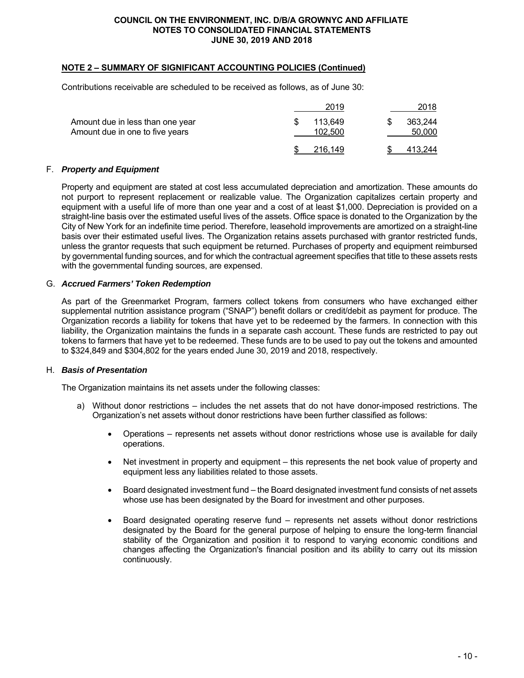#### **NOTE 2 – SUMMARY OF SIGNIFICANT ACCOUNTING POLICIES (Continued)**

Contributions receivable are scheduled to be received as follows, as of June 30:

|                                                                     | 2019               | 2018              |
|---------------------------------------------------------------------|--------------------|-------------------|
| Amount due in less than one year<br>Amount due in one to five years | 113.649<br>102.500 | 363.244<br>50,000 |
|                                                                     | 216.149            | 413.244           |

#### F. *Property and Equipment*

Property and equipment are stated at cost less accumulated depreciation and amortization. These amounts do not purport to represent replacement or realizable value. The Organization capitalizes certain property and equipment with a useful life of more than one year and a cost of at least \$1,000. Depreciation is provided on a straight-line basis over the estimated useful lives of the assets. Office space is donated to the Organization by the City of New York for an indefinite time period. Therefore, leasehold improvements are amortized on a straight-line basis over their estimated useful lives. The Organization retains assets purchased with grantor restricted funds, unless the grantor requests that such equipment be returned. Purchases of property and equipment reimbursed by governmental funding sources, and for which the contractual agreement specifies that title to these assets rests with the governmental funding sources, are expensed.

#### G. *Accrued Farmers' Token Redemption*

As part of the Greenmarket Program, farmers collect tokens from consumers who have exchanged either supplemental nutrition assistance program ("SNAP") benefit dollars or credit/debit as payment for produce. The Organization records a liability for tokens that have yet to be redeemed by the farmers. In connection with this liability, the Organization maintains the funds in a separate cash account. These funds are restricted to pay out tokens to farmers that have yet to be redeemed. These funds are to be used to pay out the tokens and amounted to \$324,849 and \$304,802 for the years ended June 30, 2019 and 2018, respectively.

#### H. *Basis of Presentation*

The Organization maintains its net assets under the following classes:

- a) Without donor restrictions includes the net assets that do not have donor-imposed restrictions. The Organization's net assets without donor restrictions have been further classified as follows:
	- Operations represents net assets without donor restrictions whose use is available for daily operations.
	- Net investment in property and equipment this represents the net book value of property and equipment less any liabilities related to those assets.
	- Board designated investment fund the Board designated investment fund consists of net assets whose use has been designated by the Board for investment and other purposes.
	- Board designated operating reserve fund represents net assets without donor restrictions designated by the Board for the general purpose of helping to ensure the long-term financial stability of the Organization and position it to respond to varying economic conditions and changes affecting the Organization's financial position and its ability to carry out its mission continuously.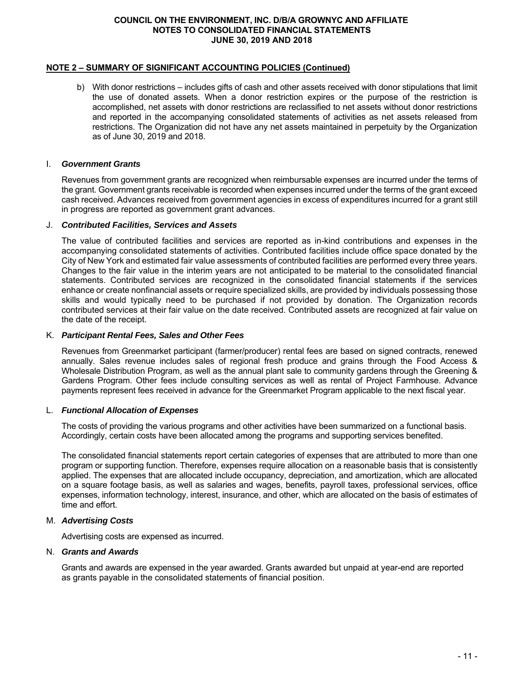#### **NOTE 2 – SUMMARY OF SIGNIFICANT ACCOUNTING POLICIES (Continued)**

b) With donor restrictions – includes gifts of cash and other assets received with donor stipulations that limit the use of donated assets. When a donor restriction expires or the purpose of the restriction is accomplished, net assets with donor restrictions are reclassified to net assets without donor restrictions and reported in the accompanying consolidated statements of activities as net assets released from restrictions. The Organization did not have any net assets maintained in perpetuity by the Organization as of June 30, 2019 and 2018.

#### I. *Government Grants*

Revenues from government grants are recognized when reimbursable expenses are incurred under the terms of the grant. Government grants receivable is recorded when expenses incurred under the terms of the grant exceed cash received. Advances received from government agencies in excess of expenditures incurred for a grant still in progress are reported as government grant advances.

#### J. *Contributed Facilities, Services and Assets*

The value of contributed facilities and services are reported as in-kind contributions and expenses in the accompanying consolidated statements of activities. Contributed facilities include office space donated by the City of New York and estimated fair value assessments of contributed facilities are performed every three years. Changes to the fair value in the interim years are not anticipated to be material to the consolidated financial statements. Contributed services are recognized in the consolidated financial statements if the services enhance or create nonfinancial assets or require specialized skills, are provided by individuals possessing those skills and would typically need to be purchased if not provided by donation. The Organization records contributed services at their fair value on the date received. Contributed assets are recognized at fair value on the date of the receipt.

#### K. *Participant Rental Fees, Sales and Other Fees*

Revenues from Greenmarket participant (farmer/producer) rental fees are based on signed contracts, renewed annually. Sales revenue includes sales of regional fresh produce and grains through the Food Access & Wholesale Distribution Program, as well as the annual plant sale to community gardens through the Greening & Gardens Program. Other fees include consulting services as well as rental of Project Farmhouse. Advance payments represent fees received in advance for the Greenmarket Program applicable to the next fiscal year.

#### L. *Functional Allocation of Expenses*

The costs of providing the various programs and other activities have been summarized on a functional basis. Accordingly, certain costs have been allocated among the programs and supporting services benefited.

The consolidated financial statements report certain categories of expenses that are attributed to more than one program or supporting function. Therefore, expenses require allocation on a reasonable basis that is consistently applied. The expenses that are allocated include occupancy, depreciation, and amortization, which are allocated on a square footage basis, as well as salaries and wages, benefits, payroll taxes, professional services, office expenses, information technology, interest, insurance, and other, which are allocated on the basis of estimates of time and effort.

#### M. *Advertising Costs*

Advertising costs are expensed as incurred.

#### N. *Grants and Awards*

Grants and awards are expensed in the year awarded. Grants awarded but unpaid at year-end are reported as grants payable in the consolidated statements of financial position.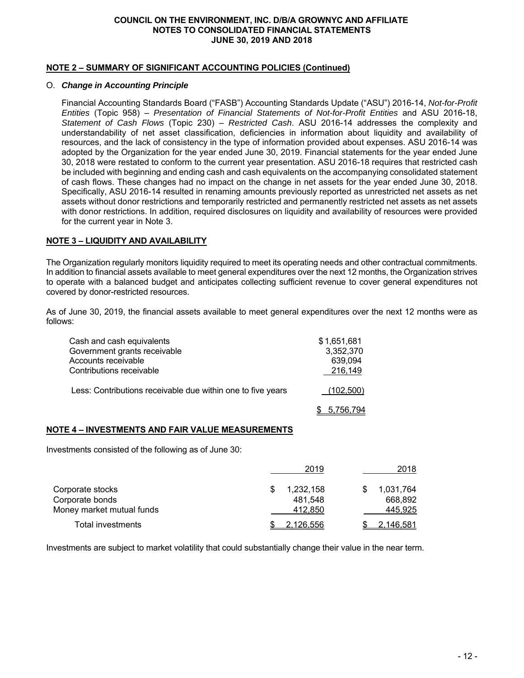#### **NOTE 2 – SUMMARY OF SIGNIFICANT ACCOUNTING POLICIES (Continued)**

#### O. *Change in Accounting Principle*

Financial Accounting Standards Board ("FASB") Accounting Standards Update ("ASU") 2016-14, *Not-for-Profit Entities* (Topic 958) – *Presentation of Financial Statements of Not-for-Profit Entities* and ASU 2016-18, *Statement of Cash Flows* (Topic 230) – *Restricted Cash*. ASU 2016-14 addresses the complexity and understandability of net asset classification, deficiencies in information about liquidity and availability of resources, and the lack of consistency in the type of information provided about expenses. ASU 2016-14 was adopted by the Organization for the year ended June 30, 2019. Financial statements for the year ended June 30, 2018 were restated to conform to the current year presentation. ASU 2016-18 requires that restricted cash be included with beginning and ending cash and cash equivalents on the accompanying consolidated statement of cash flows. These changes had no impact on the change in net assets for the year ended June 30, 2018. Specifically, ASU 2016-14 resulted in renaming amounts previously reported as unrestricted net assets as net assets without donor restrictions and temporarily restricted and permanently restricted net assets as net assets with donor restrictions. In addition, required disclosures on liquidity and availability of resources were provided for the current year in Note 3.

#### **NOTE 3 – LIQUIDITY AND AVAILABILITY**

The Organization regularly monitors liquidity required to meet its operating needs and other contractual commitments. In addition to financial assets available to meet general expenditures over the next 12 months, the Organization strives to operate with a balanced budget and anticipates collecting sufficient revenue to cover general expenditures not covered by donor-restricted resources.

As of June 30, 2019, the financial assets available to meet general expenditures over the next 12 months were as follows:

| Cash and cash equivalents                                   | \$1,651,681 |
|-------------------------------------------------------------|-------------|
| Government grants receivable                                | 3,352,370   |
| Accounts receivable                                         | 639,094     |
| Contributions receivable                                    | 216.149     |
| Less: Contributions receivable due within one to five years | (102, 500)  |
|                                                             | 5.756.794   |

#### **NOTE 4 – INVESTMENTS AND FAIR VALUE MEASUREMENTS**

Investments consisted of the following as of June 30:

|                           | 2019      | 2018      |
|---------------------------|-----------|-----------|
| Corporate stocks          | 1,232,158 | 1,031,764 |
| Corporate bonds           | 481.548   | 668.892   |
| Money market mutual funds | 412.850   | 445,925   |
| Total investments         | 2.126.556 | 2.146.581 |

Investments are subject to market volatility that could substantially change their value in the near term.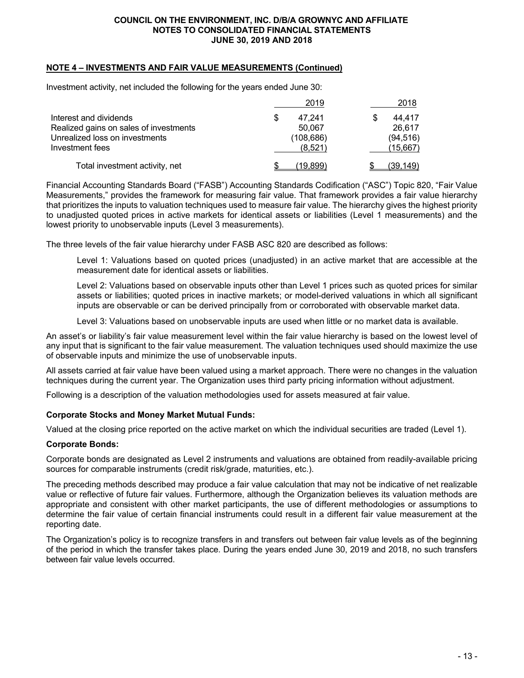#### **NOTE 4 – INVESTMENTS AND FAIR VALUE MEASUREMENTS (Continued)**

Investment activity, net included the following for the years ended June 30:

|                                        | 2019       | 2018      |
|----------------------------------------|------------|-----------|
| Interest and dividends                 | 47.241     | 44,417    |
| Realized gains on sales of investments | 50.067     | 26,617    |
| Unrealized loss on investments         | (108, 686) | (94, 516) |
| Investment fees                        | (8.521)    | (15,667)  |
| Total investment activity, net         | 19.8991    | (39.149)  |

Financial Accounting Standards Board ("FASB") Accounting Standards Codification ("ASC") Topic 820, "Fair Value Measurements," provides the framework for measuring fair value. That framework provides a fair value hierarchy that prioritizes the inputs to valuation techniques used to measure fair value. The hierarchy gives the highest priority to unadjusted quoted prices in active markets for identical assets or liabilities (Level 1 measurements) and the lowest priority to unobservable inputs (Level 3 measurements).

The three levels of the fair value hierarchy under FASB ASC 820 are described as follows:

Level 1: Valuations based on quoted prices (unadjusted) in an active market that are accessible at the measurement date for identical assets or liabilities.

Level 2: Valuations based on observable inputs other than Level 1 prices such as quoted prices for similar assets or liabilities; quoted prices in inactive markets; or model-derived valuations in which all significant inputs are observable or can be derived principally from or corroborated with observable market data.

Level 3: Valuations based on unobservable inputs are used when little or no market data is available.

An asset's or liability's fair value measurement level within the fair value hierarchy is based on the lowest level of any input that is significant to the fair value measurement. The valuation techniques used should maximize the use of observable inputs and minimize the use of unobservable inputs.

All assets carried at fair value have been valued using a market approach. There were no changes in the valuation techniques during the current year. The Organization uses third party pricing information without adjustment.

Following is a description of the valuation methodologies used for assets measured at fair value.

#### **Corporate Stocks and Money Market Mutual Funds:**

Valued at the closing price reported on the active market on which the individual securities are traded (Level 1).

#### **Corporate Bonds:**

Corporate bonds are designated as Level 2 instruments and valuations are obtained from readily-available pricing sources for comparable instruments (credit risk/grade, maturities, etc.).

The preceding methods described may produce a fair value calculation that may not be indicative of net realizable value or reflective of future fair values. Furthermore, although the Organization believes its valuation methods are appropriate and consistent with other market participants, the use of different methodologies or assumptions to determine the fair value of certain financial instruments could result in a different fair value measurement at the reporting date.

The Organization's policy is to recognize transfers in and transfers out between fair value levels as of the beginning of the period in which the transfer takes place. During the years ended June 30, 2019 and 2018, no such transfers between fair value levels occurred.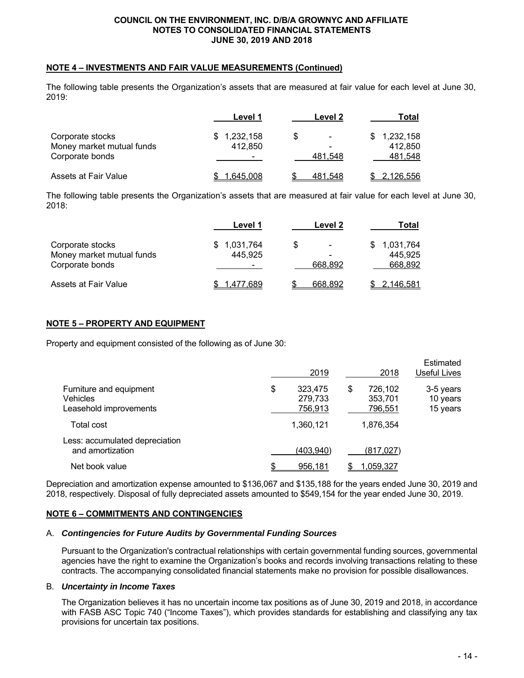#### **NOTE 4 – INVESTMENTS AND FAIR VALUE MEASUREMENTS (Continued)**

The following table presents the Organization's assets that are measured at fair value for each level at June 30, 2019:

|                           | Level 1                  | Level 2                        | Total            |
|---------------------------|--------------------------|--------------------------------|------------------|
| Corporate stocks          | 1,232,158<br>\$.         | \$<br>$\overline{\phantom{0}}$ | 1,232,158        |
| Money market mutual funds | 412.850                  | -                              | 412.850          |
| Corporate bonds           | $\overline{\phantom{0}}$ | 481.548                        | 481.548          |
| Assets at Fair Value      | <u>1,645,008</u>         | 481,548                        | <u>2,126,556</u> |

The following table presents the Organization's assets that are measured at fair value for each level at June 30, 2018:

|                           | Level 1   | Level 2                         | Total            |
|---------------------------|-----------|---------------------------------|------------------|
| Corporate stocks          | 1,031,764 | \$.<br>$\overline{\phantom{0}}$ | 1,031,764        |
| Money market mutual funds | 445.925   | ۰                               | 445,925          |
| Corporate bonds           | -         | 668.892                         | 668,892          |
| Assets at Fair Value      | .477.689  | 668.892                         | <u>2,146,581</u> |

#### **NOTE 5 – PROPERTY AND EQUIPMENT**

Property and equipment consisted of the following as of June 30:

|                                                                      | 2019                                |   | 2018                          | Estimated<br>Useful Lives         |
|----------------------------------------------------------------------|-------------------------------------|---|-------------------------------|-----------------------------------|
| Furniture and equipment<br><b>Vehicles</b><br>Leasehold improvements | \$<br>323,475<br>279,733<br>756,913 | S | 726,102<br>353,701<br>796,551 | 3-5 years<br>10 years<br>15 years |
| Total cost                                                           | 1,360,121                           |   | 1,876,354                     |                                   |
| Less: accumulated depreciation<br>and amortization                   | (403,940)                           |   | (817,027)                     |                                   |
| Net book value                                                       | 956,181                             |   | 1,059,327                     |                                   |

Depreciation and amortization expense amounted to \$136,067 and \$135,188 for the years ended June 30, 2019 and 2018, respectively. Disposal of fully depreciated assets amounted to \$549,154 for the year ended June 30, 2019.

#### **NOTE 6 – COMMITMENTS AND CONTINGENCIES**

#### A. *Contingencies for Future Audits by Governmental Funding Sources*

Pursuant to the Organization's contractual relationships with certain governmental funding sources, governmental agencies have the right to examine the Organization's books and records involving transactions relating to these contracts. The accompanying consolidated financial statements make no provision for possible disallowances.

#### B. *Uncertainty in Income Taxes*

The Organization believes it has no uncertain income tax positions as of June 30, 2019 and 2018, in accordance with FASB ASC Topic 740 ("Income Taxes"), which provides standards for establishing and classifying any tax provisions for uncertain tax positions.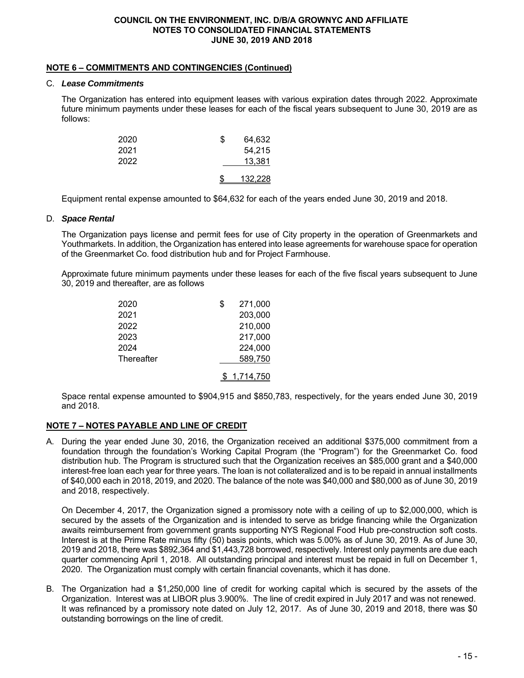#### **NOTE 6 – COMMITMENTS AND CONTINGENCIES (Continued)**

#### C. *Lease Commitments*

The Organization has entered into equipment leases with various expiration dates through 2022. Approximate future minimum payments under these leases for each of the fiscal years subsequent to June 30, 2019 are as follows:

| 2020 | S | 64,632  |
|------|---|---------|
| 2021 |   | 54,215  |
| 2022 |   | 13.381  |
|      |   | 132,228 |

Equipment rental expense amounted to \$64,632 for each of the years ended June 30, 2019 and 2018.

#### D. *Space Rental*

The Organization pays license and permit fees for use of City property in the operation of Greenmarkets and Youthmarkets. In addition, the Organization has entered into lease agreements for warehouse space for operation of the Greenmarket Co. food distribution hub and for Project Farmhouse.

Approximate future minimum payments under these leases for each of the five fiscal years subsequent to June 30, 2019 and thereafter, are as follows

| 2020       | \$<br>271,000 |
|------------|---------------|
| 2021       | 203,000       |
| 2022       | 210,000       |
| 2023       | 217,000       |
| 2024       | 224,000       |
| Thereafter | 589,750       |
|            | 1,714,750     |

Space rental expense amounted to \$904,915 and \$850,783, respectively, for the years ended June 30, 2019 and 2018.

#### **NOTE 7 – NOTES PAYABLE AND LINE OF CREDIT**

A. During the year ended June 30, 2016, the Organization received an additional \$375,000 commitment from a foundation through the foundation's Working Capital Program (the "Program") for the Greenmarket Co. food distribution hub. The Program is structured such that the Organization receives an \$85,000 grant and a \$40,000 interest-free loan each year for three years. The loan is not collateralized and is to be repaid in annual installments of \$40,000 each in 2018, 2019, and 2020. The balance of the note was \$40,000 and \$80,000 as of June 30, 2019 and 2018, respectively.

On December 4, 2017, the Organization signed a promissory note with a ceiling of up to \$2,000,000, which is secured by the assets of the Organization and is intended to serve as bridge financing while the Organization awaits reimbursement from government grants supporting NYS Regional Food Hub pre-construction soft costs. Interest is at the Prime Rate minus fifty (50) basis points, which was 5.00% as of June 30, 2019. As of June 30, 2019 and 2018, there was \$892,364 and \$1,443,728 borrowed, respectively. Interest only payments are due each quarter commencing April 1, 2018. All outstanding principal and interest must be repaid in full on December 1, 2020. The Organization must comply with certain financial covenants, which it has done.

B. The Organization had a \$1,250,000 line of credit for working capital which is secured by the assets of the Organization. Interest was at LIBOR plus 3.900%. The line of credit expired in July 2017 and was not renewed. It was refinanced by a promissory note dated on July 12, 2017. As of June 30, 2019 and 2018, there was \$0 outstanding borrowings on the line of credit.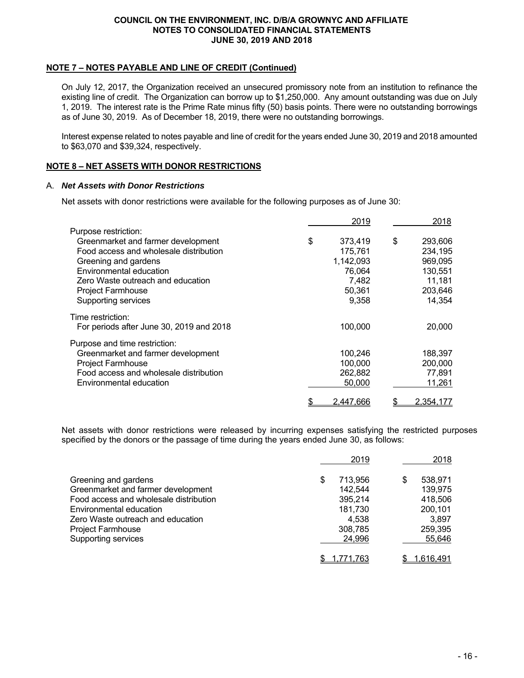#### **NOTE 7 – NOTES PAYABLE AND LINE OF CREDIT (Continued)**

On July 12, 2017, the Organization received an unsecured promissory note from an institution to refinance the existing line of credit. The Organization can borrow up to \$1,250,000. Any amount outstanding was due on July 1, 2019. The interest rate is the Prime Rate minus fifty (50) basis points. There were no outstanding borrowings as of June 30, 2019. As of December 18, 2019, there were no outstanding borrowings.

Interest expense related to notes payable and line of credit for the years ended June 30, 2019 and 2018 amounted to \$63,070 and \$39,324, respectively.

#### **NOTE 8 – NET ASSETS WITH DONOR RESTRICTIONS**

#### A. *Net Assets with Donor Restrictions*

Net assets with donor restrictions were available for the following purposes as of June 30:

|                                          | 2019          | 2018             |
|------------------------------------------|---------------|------------------|
| Purpose restriction:                     |               |                  |
| Greenmarket and farmer development       | \$<br>373,419 | \$<br>293,606    |
| Food access and wholesale distribution   | 175,761       | 234,195          |
| Greening and gardens                     | 1,142,093     | 969,095          |
| Environmental education                  | 76,064        | 130,551          |
| Zero Waste outreach and education        | 7,482         | 11,181           |
| <b>Project Farmhouse</b>                 | 50,361        | 203,646          |
| Supporting services                      | 9,358         | 14,354           |
| Time restriction:                        |               |                  |
| For periods after June 30, 2019 and 2018 | 100,000       | 20,000           |
| Purpose and time restriction:            |               |                  |
| Greenmarket and farmer development       | 100,246       | 188,397          |
| Project Farmhouse                        | 100,000       | 200,000          |
| Food access and wholesale distribution   | 262,882       | 77,891           |
| Environmental education                  | 50,000        | 11,261           |
|                                          | 2,447,666     | <u>2,354,177</u> |

Net assets with donor restrictions were released by incurring expenses satisfying the restricted purposes specified by the donors or the passage of time during the years ended June 30, as follows:

|                                                                                                                                                                                                                         | 2019                                                                   | 2018                                                                   |
|-------------------------------------------------------------------------------------------------------------------------------------------------------------------------------------------------------------------------|------------------------------------------------------------------------|------------------------------------------------------------------------|
| Greening and gardens<br>Greenmarket and farmer development<br>Food access and wholesale distribution<br>Environmental education<br>Zero Waste outreach and education<br><b>Project Farmhouse</b><br>Supporting services | 713.956<br>142,544<br>395,214<br>181,730<br>4.538<br>308,785<br>24,996 | 538.971<br>139,975<br>418,506<br>200,101<br>3,897<br>259,395<br>55,646 |
|                                                                                                                                                                                                                         | 1,771,763                                                              | <u>1,616,491</u>                                                       |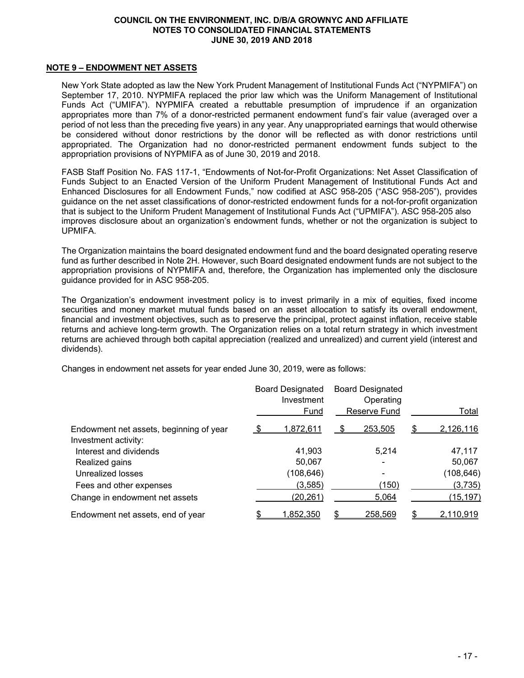#### **NOTE 9 – ENDOWMENT NET ASSETS**

New York State adopted as law the New York Prudent Management of Institutional Funds Act ("NYPMIFA") on September 17, 2010. NYPMIFA replaced the prior law which was the Uniform Management of Institutional Funds Act ("UMIFA"). NYPMIFA created a rebuttable presumption of imprudence if an organization appropriates more than 7% of a donor-restricted permanent endowment fund's fair value (averaged over a period of not less than the preceding five years) in any year. Any unappropriated earnings that would otherwise be considered without donor restrictions by the donor will be reflected as with donor restrictions until appropriated. The Organization had no donor-restricted permanent endowment funds subject to the appropriation provisions of NYPMIFA as of June 30, 2019 and 2018.

FASB Staff Position No. FAS 117-1, "Endowments of Not-for-Profit Organizations: Net Asset Classification of Funds Subject to an Enacted Version of the Uniform Prudent Management of Institutional Funds Act and Enhanced Disclosures for all Endowment Funds," now codified at ASC 958-205 ("ASC 958-205"), provides guidance on the net asset classifications of donor-restricted endowment funds for a not-for-profit organization that is subject to the Uniform Prudent Management of Institutional Funds Act ("UPMIFA"). ASC 958-205 also improves disclosure about an organization's endowment funds, whether or not the organization is subject to UPMIFA.

The Organization maintains the board designated endowment fund and the board designated operating reserve fund as further described in Note 2H. However, such Board designated endowment funds are not subject to the appropriation provisions of NYPMIFA and, therefore, the Organization has implemented only the disclosure guidance provided for in ASC 958-205.

The Organization's endowment investment policy is to invest primarily in a mix of equities, fixed income securities and money market mutual funds based on an asset allocation to satisfy its overall endowment, financial and investment objectives, such as to preserve the principal, protect against inflation, receive stable returns and achieve long-term growth. The Organization relies on a total return strategy in which investment returns are achieved through both capital appreciation (realized and unrealized) and current yield (interest and dividends).

Changes in endowment net assets for year ended June 30, 2019, were as follows:

|                                         | <b>Board Designated</b><br>Investment<br>Fund |            |    | <b>Board Designated</b><br>Operating<br><b>Reserve Fund</b> | Total |                  |  |
|-----------------------------------------|-----------------------------------------------|------------|----|-------------------------------------------------------------|-------|------------------|--|
| Endowment net assets, beginning of year | -S                                            | 1,872,611  |    | 253,505                                                     | \$    | 2,126,116        |  |
| Investment activity:                    |                                               |            |    |                                                             |       |                  |  |
| Interest and dividends                  |                                               | 41,903     |    | 5.214                                                       |       | 47,117           |  |
| Realized gains                          |                                               | 50,067     |    |                                                             |       | 50,067           |  |
| Unrealized losses                       |                                               | (108, 646) |    |                                                             |       | (108, 646)       |  |
| Fees and other expenses                 |                                               | (3,585)    |    | (150)                                                       |       | (3,735)          |  |
| Change in endowment net assets          |                                               | (20, 261)  |    | 5,064                                                       |       | (15, 197)        |  |
| Endowment net assets, end of year       |                                               | 1,852,350  | \$ | 258,569                                                     |       | <u>2,110,919</u> |  |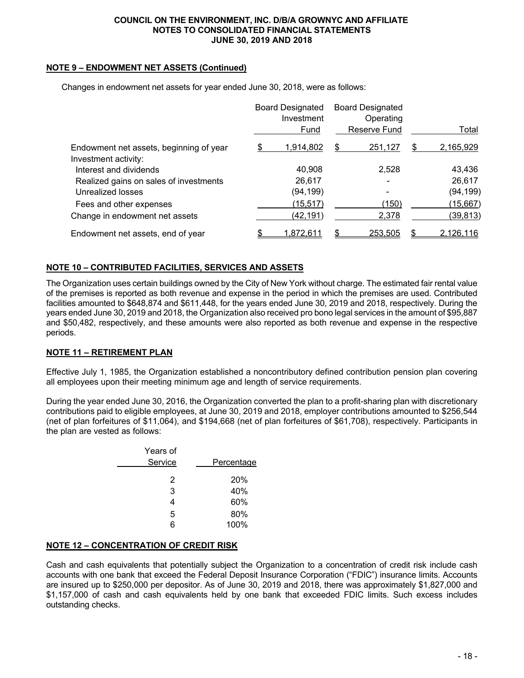#### **NOTE 9 – ENDOWMENT NET ASSETS (Continued)**

|                                         | <b>Board Designated</b><br>Investment<br>Fund |           |    | <b>Board Designated</b><br>Operating<br>Reserve Fund | Total |                  |  |
|-----------------------------------------|-----------------------------------------------|-----------|----|------------------------------------------------------|-------|------------------|--|
| Endowment net assets, beginning of year |                                               | 1,914,802 | S  | 251,127                                              | S     | 2,165,929        |  |
| Investment activity:                    |                                               |           |    |                                                      |       |                  |  |
| Interest and dividends                  |                                               | 40,908    |    | 2,528                                                |       | 43,436           |  |
| Realized gains on sales of investments  |                                               | 26,617    |    |                                                      |       | 26,617           |  |
| Unrealized losses                       |                                               | (94,199)  |    |                                                      |       | (94, 199)        |  |
| Fees and other expenses                 |                                               | (15, 517) |    | (150)                                                |       | (15, 667)        |  |
| Change in endowment net assets          |                                               | (42,191)  |    | 2,378                                                |       | (39, 813)        |  |
| Endowment net assets, end of year       |                                               | 1.872.611 | ß. | 253.505                                              |       | <u>2,126,116</u> |  |

Changes in endowment net assets for year ended June 30, 2018, were as follows:

#### **NOTE 10 – CONTRIBUTED FACILITIES, SERVICES AND ASSETS**

The Organization uses certain buildings owned by the City of New York without charge. The estimated fair rental value of the premises is reported as both revenue and expense in the period in which the premises are used. Contributed facilities amounted to \$648,874 and \$611,448, for the years ended June 30, 2019 and 2018, respectively. During the years ended June 30, 2019 and 2018, the Organization also received pro bono legal services in the amount of \$95,887 and \$50,482, respectively, and these amounts were also reported as both revenue and expense in the respective periods.

#### **NOTE 11 – RETIREMENT PLAN**

Effective July 1, 1985, the Organization established a noncontributory defined contribution pension plan covering all employees upon their meeting minimum age and length of service requirements.

During the year ended June 30, 2016, the Organization converted the plan to a profit-sharing plan with discretionary contributions paid to eligible employees, at June 30, 2019 and 2018, employer contributions amounted to \$256,544 (net of plan forfeitures of \$11,064), and \$194,668 (net of plan forfeitures of \$61,708), respectively. Participants in the plan are vested as follows:

|            | Years of |  |
|------------|----------|--|
| Percentage | Service  |  |
| 20%        | 2        |  |
| 40%        | 3        |  |
| 60%        |          |  |
| 80%        | 5        |  |
| 100%       |          |  |
|            |          |  |

#### **NOTE 12 – CONCENTRATION OF CREDIT RISK**

Cash and cash equivalents that potentially subject the Organization to a concentration of credit risk include cash accounts with one bank that exceed the Federal Deposit Insurance Corporation ("FDIC") insurance limits. Accounts are insured up to \$250,000 per depositor. As of June 30, 2019 and 2018, there was approximately \$1,827,000 and \$1,157,000 of cash and cash equivalents held by one bank that exceeded FDIC limits. Such excess includes outstanding checks.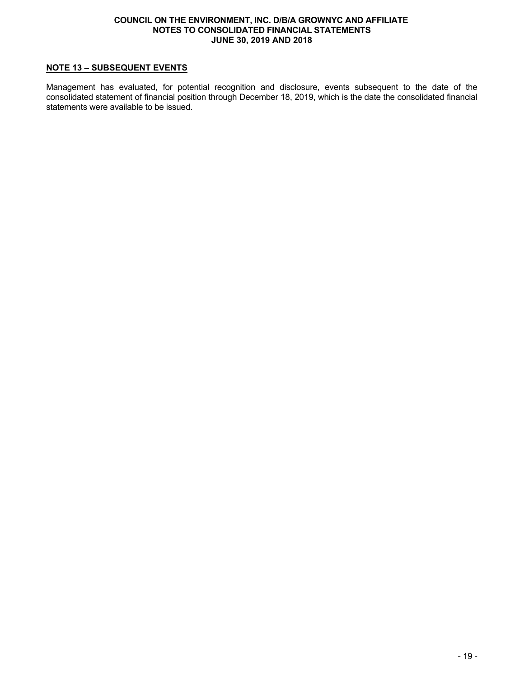#### **NOTE 13 – SUBSEQUENT EVENTS**

Management has evaluated, for potential recognition and disclosure, events subsequent to the date of the consolidated statement of financial position through December 18, 2019, which is the date the consolidated financial statements were available to be issued.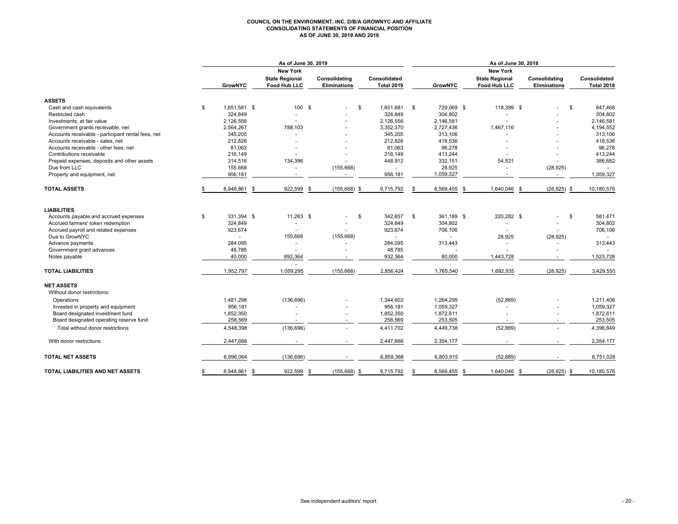#### **COUNCIL ON THE ENVIRONMENT, INC. D/B/A GROWNYC AND AFFILIATE CONSOLIDATING STATEMENTS OF FINANCIAL POSITION AS OF JUNE 30, 2019 AND 2018**

|                                                    | As of June 30, 2019   |                                       |                                      |                                   | As of June 30, 2018 |                                       |                               |                                   |  |  |  |
|----------------------------------------------------|-----------------------|---------------------------------------|--------------------------------------|-----------------------------------|---------------------|---------------------------------------|-------------------------------|-----------------------------------|--|--|--|
|                                                    |                       | <b>New York</b>                       |                                      |                                   |                     | <b>New York</b>                       |                               |                                   |  |  |  |
|                                                    | <b>GrowNYC</b>        | <b>State Regional</b><br>Food Hub LLC | Consolidating<br><b>Eliminations</b> | Consolidated<br><b>Total 2019</b> | <b>GrowNYC</b>      | <b>State Regional</b><br>Food Hub LLC | Consolidating<br>Eliminations | Consolidated<br><b>Total 2018</b> |  |  |  |
| <b>ASSETS</b>                                      |                       |                                       |                                      |                                   |                     |                                       |                               |                                   |  |  |  |
| Cash and cash equivalents                          | \$<br>1,651,581 \$    | 100 \$                                |                                      | \$<br>1,651,681                   | \$<br>729,069 \$    | 118,399 \$                            |                               | \$<br>847,468                     |  |  |  |
| Restricted cash                                    | 324,849               |                                       |                                      | 324,849                           | 304,802             |                                       |                               | 304,802                           |  |  |  |
| Investments, at fair value                         | 2,126,556             |                                       |                                      | 2,126,556                         | 2,146,581           |                                       |                               | 2,146,581                         |  |  |  |
| Government grants receivable, net                  | 2,564,267             | 788,103                               |                                      | 3,352,370                         | 2,727,436           | 1,467,116                             |                               | 4,194,552                         |  |  |  |
| Accounts receivable - participant rental fees, net | 345,205               | ÷.                                    |                                      | 345,205                           | 313,106             |                                       |                               | 313,106                           |  |  |  |
| Accounts receivable - sales, net                   | 212,826               | ٠                                     |                                      | 212,826                           | 418,536             |                                       |                               | 418,536                           |  |  |  |
| Accounts receivable - other fees, net              | 81,063                |                                       |                                      | 81,063                            | 96,278              |                                       |                               | 96,278                            |  |  |  |
| Contributions receivable                           | 216,149               | ٠                                     |                                      | 216,149                           | 413,244             | ٠                                     |                               | 413,244                           |  |  |  |
| Prepaid expenses, deposits and other assets        | 314,516               | 134,396                               |                                      | 448,912                           | 332,151             | 54,531                                |                               | 386,682                           |  |  |  |
| Due from LLC                                       | 155,668               | ٠                                     | (155, 668)                           |                                   | 28,925              | ÷.                                    | (28, 925)                     |                                   |  |  |  |
| Property and equipment, net                        | 956,181               |                                       | ÷.                                   | 956,181                           | 1,059,327           |                                       | ×.                            | 1,059,327                         |  |  |  |
| <b>TOTAL ASSETS</b>                                | 8,948,861<br>-S       | 922,599                               | (155, 668)<br>-\$                    | 9,715,792<br>\$                   | 8,569,455<br>- \$   | 1,640,046                             | $(28, 925)$ \$<br>- \$        | 10,180,576                        |  |  |  |
| <b>LIABILITIES</b>                                 |                       |                                       |                                      |                                   |                     |                                       |                               |                                   |  |  |  |
| Accounts payable and accrued expenses              | \$<br>331.394 \$      | 11,263 \$                             | ٠                                    | 342,657<br>\$                     | \$<br>361.189 \$    | 220,282 \$                            |                               | \$<br>581,471                     |  |  |  |
| Accrued farmers' token redemption                  | 324,849               |                                       |                                      | 324,849                           | 304,802             |                                       |                               | 304,802                           |  |  |  |
| Accrued payroll and related expenses               | 923,674               | $\overline{a}$                        |                                      | 923,674                           | 706,106             | ÷                                     | $\sim$                        | 706,106                           |  |  |  |
| Due to GrowNYC                                     |                       | 155,668                               | (155, 668)                           |                                   |                     | 28,925                                | (28, 925)                     |                                   |  |  |  |
| Advance payments                                   | 284,095               | ٠                                     |                                      | 284.095                           | 313,443             | ٠                                     | $\sim$                        | 313,443                           |  |  |  |
| Government grant advances                          | 48,785                |                                       |                                      | 48,785                            |                     |                                       |                               |                                   |  |  |  |
| Notes payable                                      | 40,000                | 892,364                               |                                      | 932,364                           | 80,000              | 1,443,728                             |                               | 1,523,728                         |  |  |  |
|                                                    |                       |                                       |                                      |                                   |                     |                                       |                               |                                   |  |  |  |
| <b>TOTAL LIABILITIES</b>                           | 1,952,797             | 1,059,295                             | (155, 668)                           | 2,856,424                         | 1,765,540           | 1,692,935                             | (28, 925)                     | 3,429,550                         |  |  |  |
| <b>NET ASSETS</b><br>Without donor restrictions:   |                       |                                       |                                      |                                   |                     |                                       |                               |                                   |  |  |  |
| Operations                                         | 1,481,298             | (136, 696)                            |                                      | 1,344,602                         | 1,264,295           | (52, 889)                             |                               | 1,211,406                         |  |  |  |
| Invested in property and equipment                 | 956,181               |                                       |                                      | 956,181                           | 1,059,327           |                                       |                               | 1,059,327                         |  |  |  |
| Board designated investment fund                   | 1,852,350             |                                       |                                      | 1,852,350                         | 1,872,611           |                                       |                               | 1,872,611                         |  |  |  |
| Board designated operating reserve fund            | 258,569               |                                       |                                      | 258,569                           | 253,505             |                                       |                               | 253,505                           |  |  |  |
| Total without donor restrictions                   | 4,548,398             | (136, 696)                            | $\sim$                               | 4,411,702                         | 4,449,738           | (52, 889)                             |                               | 4,396,849                         |  |  |  |
| With donor restrictions                            | 2,447,666             |                                       |                                      | 2,447,666                         | 2,354,177           |                                       |                               | 2,354,177                         |  |  |  |
| <b>TOTAL NET ASSETS</b>                            | 6,996,064             | (136, 696)                            |                                      | 6,859,368                         | 6,803,915           | (52, 889)                             |                               | 6,751,026                         |  |  |  |
| TOTAL LIABILITIES AND NET ASSETS                   | \$<br>8,948,861<br>-S | 922,599                               | \$<br>(155, 668)                     | \$<br>9,715,792                   | \$<br>8,569,455 \$  | 1,640,046 \$                          | $(28,925)$ \$                 | 10,180,576                        |  |  |  |